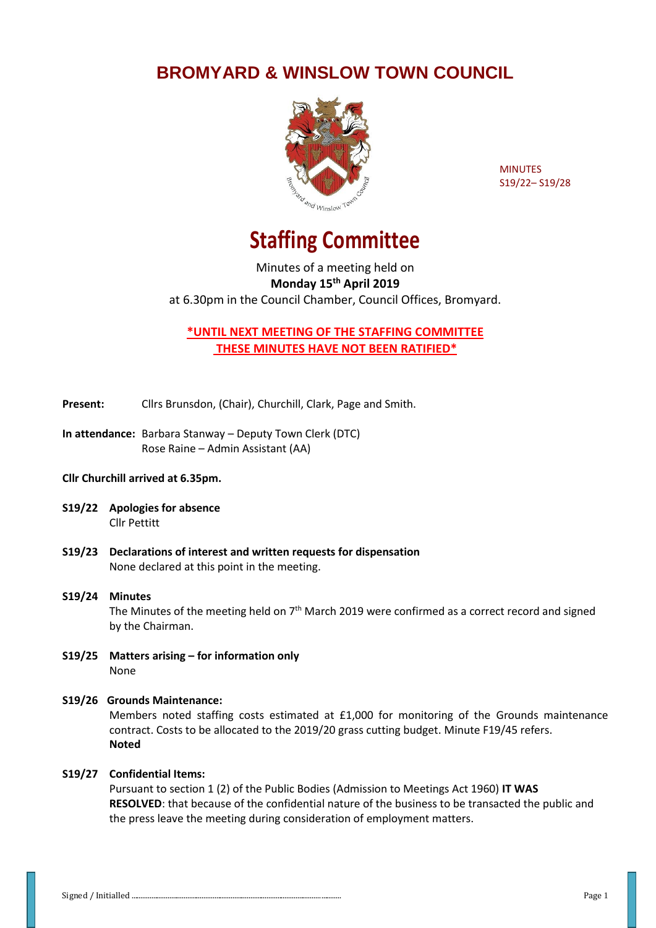## **BROMYARD & WINSLOW TOWN COUNCIL**



MINUTES S19/22– S19/28

# **Staffing Committee**

Minutes of a meeting held on **Monday 15th April 2019** at 6.30pm in the Council Chamber, Council Offices, Bromyard.

**\*UNTIL NEXT MEETING OF THE STAFFING COMMITTEE THESE MINUTES HAVE NOT BEEN RATIFIED\***

**Present:** Cllrs Brunsdon, (Chair), Churchill, Clark, Page and Smith.

**In attendance:** Barbara Stanway – Deputy Town Clerk (DTC) Rose Raine – Admin Assistant (AA)

#### **Cllr Churchill arrived at 6.35pm.**

- **S19/22 Apologies for absence** Cllr Pettitt
- **S19/23 Declarations of interest and written requests for dispensation** None declared at this point in the meeting.

#### **S19/24 Minutes**  The Minutes of the meeting held on  $7<sup>th</sup>$  March 2019 were confirmed as a correct record and signed by the Chairman.

**S19/25 Matters arising – for information only** None

#### **S19/26 Grounds Maintenance:**

Members noted staffing costs estimated at £1,000 for monitoring of the Grounds maintenance contract. Costs to be allocated to the 2019/20 grass cutting budget. Minute F19/45 refers. **Noted**

#### **S19/27 Confidential Items:**

Pursuant to section 1 (2) of the Public Bodies (Admission to Meetings Act 1960) **IT WAS RESOLVED**: that because of the confidential nature of the business to be transacted the public and the press leave the meeting during consideration of employment matters.